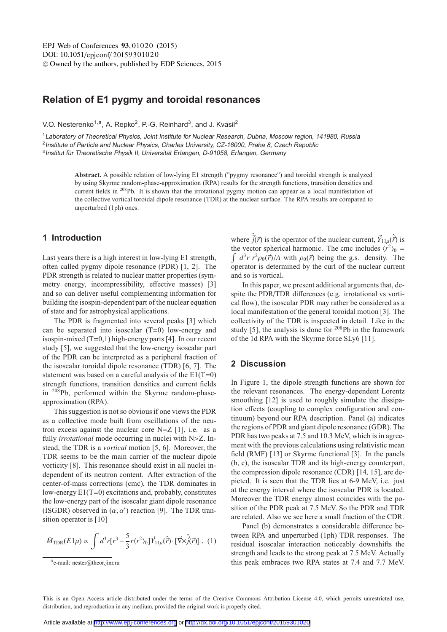## **Relation of E1 pygmy and toroidal resonances**

V.O. Nesterenko<sup>1,a</sup>, A. Repko<sup>2</sup>, P.-G. Reinhard<sup>3</sup>, and J. Kvasil<sup>2</sup>

<sup>1</sup>Laboratory of Theoretical Physics, Joint Institute for Nuclear Research, Dubna, Moscow region, 141980, Russia <sup>2</sup> Institute of Particle and Nuclear Physics, Charles University, CZ-18000, Praha 8, Czech Republic

<sup>3</sup>Institut für Theoretische Physik II, Universität Erlangen, D-91058, Erlangen, Germany

**Abstract.** A possible relation of low-lying E1 strength ("pygmy resonance") and toroidal strength is analyzed by using Skyrme random-phase-approximation (RPA) results for the strength functions, transition densities and current fields in <sup>208</sup>Pb. It is shown that the irrotational pygmy motion can appear as a local manifestation of the collective vortical toroidal dipole resonance (TDR) at the nuclear surface. The RPA results are compared to unperturbed (1ph) ones.

## **1 Introduction**

Last years there is a high interest in low-lying E1 strength, often called pygmy dipole resonance (PDR) [1, 2]. The PDR strength is related to nuclear matter properties (symmetry energy, incompressibility, effective masses) [3] and so can deliver useful complementing information for building the isospin-dependent part of the nuclear equation of state and for astrophysical applications.

The PDR is fragmented into several peaks [3] which can be separated into isoscalar  $(T=0)$  low-energy and isospin-mixed  $(T=0,1)$  high-energy parts [4]. In our recent study [5], we suggested that the low-energy isoscalar part of the PDR can be interpreted as a peripheral fraction of the isoscalar toroidal dipole resonance (TDR) [6, 7]. The statement was based on a careful analysis of the  $E1(T=0)$ strength functions, transition densities and current fields in 208Pb, performed within the Skyrme random-phaseapproximation (RPA).

This suggestion is not so obvious if one views the PDR as a collective mode built from oscillations of the neutron excess against the nuclear core  $N=Z$  [1], i.e. as a fully *irrotational* mode occurring in nuclei with N>Z. Instead, the TDR is a *vortical* motion [5, 6]. Moreover, the TDR seems to be the main carrier of the nuclear dipole vorticity [8]. This resonance should exist in all nuclei independent of its neutron content. After extraction of the center-of-mass corrections (cmc), the TDR dominates in low-energy  $E1(T=0)$  excitations and, probably, constitutes the low-energy part of the isoscalar giant dipole resonance (ISGDR) observed in  $(\alpha, \alpha')$  reaction [9]. The TDR transition operator is [10]

$$
\hat{M}_{\text{TDR}}(E1\mu) \propto \int d^3r [r^3 - \frac{5}{3}r\langle r^2 \rangle_0] \vec{Y}_{11\mu}(\hat{r}) \cdot [\vec{\nabla}\times \hat{j}(\vec{r})], \tag{1}
$$

where  $\hat{\vec{j}}(\vec{r})$  is the operator of the nuclear current,  $\vec{Y}_{11\mu}(\hat{\vec{r}})$  is the vector spherical harmonic. The cmc includes  $\langle r^2 \rangle_0 =$  $\int d^3r r^2 \rho_0(\vec{r})/A$  with  $\rho_0(\vec{r})$  being the g.s. density. The operator is determined by the curl of the nuclear current and so is vortical.

In this paper, we present additional arguments that, despite the PDR/TDR differences (e.g. irrotational vs vortical flow), the isoscalar PDR may rather be considered as a local manifestation of the general toroidal motion [3]. The collectivity of the TDR is inspected in detail. Like in the study [5], the analysis is done for  $208Pb$  in the framework of the 1d RPA with the Skyrme force SLy6 [11].

## **2 Discussion**

In Figure 1, the dipole strength functions are shown for the relevant resonances. The energy-dependent Lorentz smoothing [12] is used to roughly simulate the dissipation effects (coupling to complex configuration and continuum) beyond our RPA description. Panel (a) indicates the regions of PDR and giant dipole resonance (GDR). The PDR has two peaks at 7.5 and 10.3 MeV, which is in agreement with the previous calculations using relativistic mean field (RMF) [13] or Skyrme functional [3]. In the panels (b, c), the isoscalar TDR and its high-energy counterpart, the compression dipole resonance (CDR) [14, 15], are depicted. It is seen that the TDR lies at 6-9 MeV, i.e. just at the energy interval where the isoscalar PDR is located. Moreover the TDR energy almost coincides with the position of the PDR peak at 7.5 MeV. So the PDR and TDR are related. Also we see here a small fraction of the CDR.

Panel (b) demonstrates a considerable difference between RPA and unperturbed (1ph) TDR responses. The residual isoscalar interaction noticeably downshifts the strength and leads to the strong peak at 7.5 MeV. Actually this peak embraces two RPA states at 7.4 and 7.7 MeV.

 $a$ e-mail: nester@theor.jinr.ru

This is an Open Access article distributed under the terms of the Creative Commons Attribution License 4.0, which permits unrestricted use. distribution, and reproduction in any medium, provided the original work is properly cited.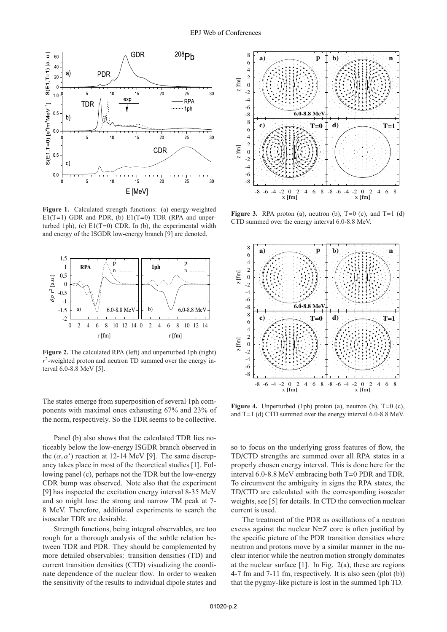

**Figure 1.** Calculated strength functions: (a) energy-weighted E1(T=1) GDR and PDR, (b) E1(T=0) TDR (RPA and unperturbed 1ph), (c)  $E1(T=0)$  CDR. In (b), the experimental width and energy of the ISGDR low-energy branch [9] are denoted.



**Figure 2.** The calculated RPA (left) and unperturbed 1ph (right)  $r^2$ -weighted proton and neutron TD summed over the energy interval 6.0-8.8 MeV [5].

The states emerge from superposition of several 1ph components with maximal ones exhausting 67% and 23% of the norm, respectively. So the TDR seems to be collective.

Panel (b) also shows that the calculated TDR lies noticeably below the low-energy ISGDR branch observed in the  $(\alpha, \alpha')$  reaction at 12-14 MeV [9]. The same discrepancy takes place in most of the theoretical studies [1]. Following panel (c), perhaps not the TDR but the low-energy CDR bump was observed. Note also that the experiment [9] has inspected the excitation energy interval 8-35 MeV and so might lose the strong and narrow TM peak at 7- 8 MeV. Therefore, additional experiments to search the isoscalar TDR are desirable.

Strength functions, being integral observables, are too rough for a thorough analysis of the subtle relation between TDR and PDR. They should be complemented by more detailed observables: transition densities (TD) and current transition densities (CTD) visualizing the coordinate dependence of the nuclear flow. In order to weaken the sensitivity of the results to individual dipole states and



**Figure 3.** RPA proton (a), neutron (b),  $T=0$  (c), and  $T=1$  (d) CTD summed over the energy interval 6.0-8.8 MeV.



Figure 4. Unperturbed (1ph) proton (a), neutron (b), T=0 (c), and T=1 (d) CTD summed over the energy interval 6.0-8.8 MeV.

so to focus on the underlying gross features of flow, the TD/CTD strengths are summed over all RPA states in a properly chosen energy interval. This is done here for the interval 6.0-8.8 MeV embracing both T=0 PDR and TDR. To circumvent the ambiguity in signs the RPA states, the TD/CTD are calculated with the corresponding isoscalar weights, see [5] for details. In CTD the convection nuclear current is used.

The treatment of the PDR as oscillations of a neutron excess against the nuclear N=Z core is often justified by the specific picture of the PDR transition densities where neutron and protons move by a similar manner in the nuclear interior while the neutron motion strongly dominates at the nuclear surface  $[1]$ . In Fig. 2(a), these are regions 4-7 fm and 7-11 fm, respectively. It is also seen (plot (b)) that the pygmy-like picture is lost in the summed 1ph TD.